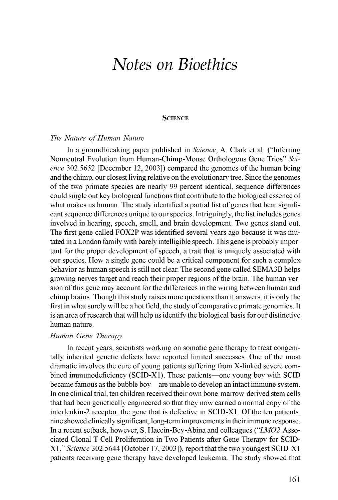# *Notes on Bioethics*

## **SCIENCE**

#### *The Nature of Human Nature*

In a groundbreaking paper published in *Science,* A. Clark et al. ("Inferring Nonneutral Evolution from Human-Chimp-Mouse Orthologous Gene Trios" *Science* 302.5652 [December 12, 2003]) compared the genomes of the human being and the chimp, our closest living relative on the evolutionary tree. Since the genomes of the two primate species are nearly 99 percent identical, sequence differences could single out key biological functions that contribute to the biological essence of what makes us human. The study identified a partial list of genes that bear significant sequence differences unique to our species. Intriguingly, the list includes genes involved in hearing, speech, smell, and brain development. Two genes stand out. The first gene called FOX2P was identified several years ago because it was mutated in a London family with barely intelligible speech. This gene is probably important for the proper development of speech, a trait that is uniquely associated with our species. How a single gene could be a critical component for such a complex behavior as human speech is still not clear. The second gene called SEMA3B helps growing nerves target and reach their proper regions of the brain. The human version of this gene may account for the differences in the wiring between human and chimp brains. Though this study raises more questions than it answers, it is only the first in what surely will be a hot field, the study of comparative primate genomics. It is an area of research that will help us identify the biological basis for our distinctive human nature.

### *Human Gene Therapy*

In recent years, scientists working on somatic gene therapy to treat congenitally inherited genetic defects have reported limited successes. one of the most dramatic involves the cure of young patients suffering from X-linked severe combined immunodeficiency (SCID-X1). These patients—one young boy with SCID became famous as the bubble boy—are unable to develop an intact immune system. In one clinical trial, ten children received their own bone-marrow-derived stem cells that had been genetically engineered so that they now carried a normal copy of the interleukin-2 receptor, the gene that is defective in SCID-X1. Of the ten patients, nine showed clinically significant, long-term improvements in their immune response. In a recent setback, however, S. Hacein-Bey-Abina and colleagues ("LMO2-Associated Clonal T Cell Proliferation in Two Patients after Gene Therapy for SCID-X1, " *Science* 302.5644 [October 17, 2003]), report that the two youngest SCID-X1 patients receiving gene therapy have developed leukemia. The study showed that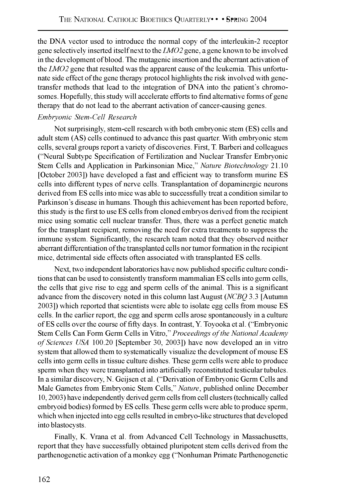the DNA vector used to introduce the normal copy of the interleukin-2 receptor gene selectively inserted itself next to the *LMO2* gene, a gene known to be involved in the development of blood. The mutagenic insertion and the aberrant activation of the *LMO2* gene that resulted was the apparent cause of the leukemia. This unfortunate side effect of the gene therapy protocol highlights the risk involved with genetransfer methods that lead to the integration of DNA into the patient's chromosomes. Hopefully, this study will accelerate efforts to find alternative forms of gene therapy that do not lead to the aberrant activation of cancer-causing genes.

# *Embryonic Stem-Cell Research*

Not surprisingly, stem-cell research with both embryonic stem (ES) cells and adult stem (AS) cells continued to advance this past quarter. With embryonic stem cells, several groups report a variety of discoveries. First, T. Barberi and colleagues ("Neural Subtype Specification of Fertilization and Nuclear Transfer Embryonic Stem Cells and Application in Parkinsonian Mice," *Nature Biotechnology* 21.10 [October 2003]) have developed a fast and efficient way to transform murine ES cells into different types of nerve cells. Transplantation of dopaminergic neurons derived from ES cells into mice was able to successfully treat a condition similar to Parkinson's disease in humans. Though this achievement has been reported before, this study is the first to use ES cells from cloned embryos derived from the recipient mice using somatic cell nuclear transfer. Thus, there was a perfect genetic match for the transplant recipient, removing the need for extra treatments to suppress the immune system. Significantly, the research team noted that they observed neither aberrant differentiation of the transplanted cells nor tumor formation in the recipient mice, detrimental side effects often associated with transplanted ES cells.

Next, two independent laboratories have now published specific culture conditions that can be used to consistently transform mammalian ES cells into germ cells, the cells that give rise to egg and sperm cells of the animal. This is a significant advance from the discovery noted in this column last August *(NCBQ* 3.3 [Autumn 2003]) which reported that scientists were able to isolate egg cells from mouse ES cells. In the earlier report, the egg and sperm cells arose spontaneously in a culture of ES cells over the course of fifty days. In contrast, Y. Toyooka et al. ("Embryonic Stem Cells Can Form Germ Cells in Vitro," *Proceedings of the National Academy of Sciences USA* 100.20 [September 30, 2003]) have now developed an in vitro system that allowed them to systematically visualize the development of mouse ES cells into germ cells in tissue culture dishes. These germ cells were able to produce sperm when they were transplanted into artificially reconstituted testicular tubules. In a similar discovery, N . Geijsen et al. ("Derivation of Embryonic Germ Cells and Male Gametes from Embryonic Stem Cells," *Nature,* published online December 10, 2003) have independently derived germ cells from cell clusters (technically called embryoid bodies) formed by ES cells. These germ cells were able to produce sperm, which when injected into egg cells resulted in embryo-like structures that developed into blastocysts.

Finally, K. Vrana et al. from Advanced Cell Technology in Massachusetts, report that they have successfully obtained pluripotent stem cells derived from the parthenogenetic activation of a monkey egg (^'Nonhuman Primate Parthenogenetic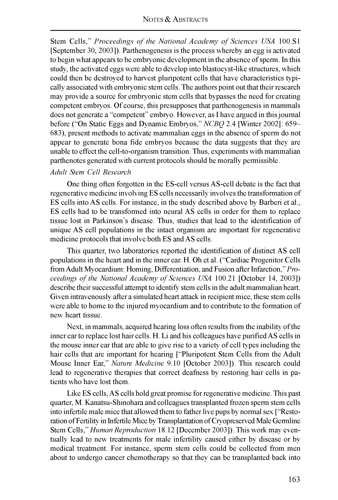Stem Cells," *Proceedings of the National Academy of Sciences USA* 100.S1 [September 30, 2003]). Parthenogenesis is the process whereby an egg is activated to begin what appears to be embryonic development in the absence of sperm. In this study, the activated eggs were able to develop into blastocyst-like structures, which could then be destroyed to harvest pluripotent cells that have characteristics typically associated with embryonic stem cells. The authors point out that their research may provide a source for embryonic stem cells that bypasses the need for creating competent embryos. Of course, this presupposes that parthenogenesis in mammals does not generate a "competent" embryo. However, as I have argued in this journal before ("On Static Eggs and Dynamic Embryos," NCBQ 2.4 [Winter 2002]: 659-683), present methods to activate mammalian eggs in the absence of sperm do not appear to generate bona fide embryos because the data suggests that they are unable to effect the cell-to-organism transition. Thus, experiments with mammalian parthenotes generated with current protocols should be morally permissible.

## *Adult Stem Cell Research*

One thing often forgotten in the ES-cell versus AS-cell debate is the fact that regenerative medicine involving ES cells necessarily involves the transformation of ES cells into AS cells. For instance, in the study described above by Barberi et al., ES cells had to be transformed into neural AS cells in order for them to replace tissue lost in Parkinson's disease. Thus, studies that lead to the identification of unique AS cell populations in the intact organism are important for regenerative medicine protocols that involve both ES and AS cells.

This quarter, two laboratories reported the identification of distinct AS cell populations in the heart and in the inner ear. H. Oh et al. ("Cardiac Progenitor Cells from Adult Myocardium: Homing, Differentiation, and Fusion after Infarction," *Proceedings of the National Academy of Sciences USA* 100.21 [October 14, 2003]) describe their successful attempt to identify stem cells in the adult mammalian heart. Given intravenously after a simulated heart attack in recipient mice, these stem cells were able to home to the injured myocardium and to contribute to the formation of new heart tissue.

Next, in mammals, acquired hearing loss often results from the inability of the inner ear to replace lost hair cells. H. Li and his colleagues have purified AS cells in the mouse inner ear that are able to give rise to a variety of cell types including the hair cells that are important for hearing ["Pluripotent Stem Cells from the Adult Mouse Inner Ear," *Nature Medicine* 9.10 [October 2003]). This research could lead to regenerative therapies that correct deafness by restoring hair cells in patients who have lost them.

Like ES cells, AS cells hold great promise for regenerative medicine. This past quarter, M . Kanatsu-Shinohara and colleagues transplanted frozen sperm stem cells into infertile male mice that allowed them to father live pups by normal sex ["Restoration of Fertility in Infertile Mice by Transplantation of Cryopreserved Male Germline Stem Cells," *Human Reproduction* 18.12 [December 2003]). This work may eventually lead to new treatments for male infertility caused either by disease or by medical treatment. For instance, sperm stem cells could be collected from men about to undergo cancer chemotherapy so that they can be transplanted back into